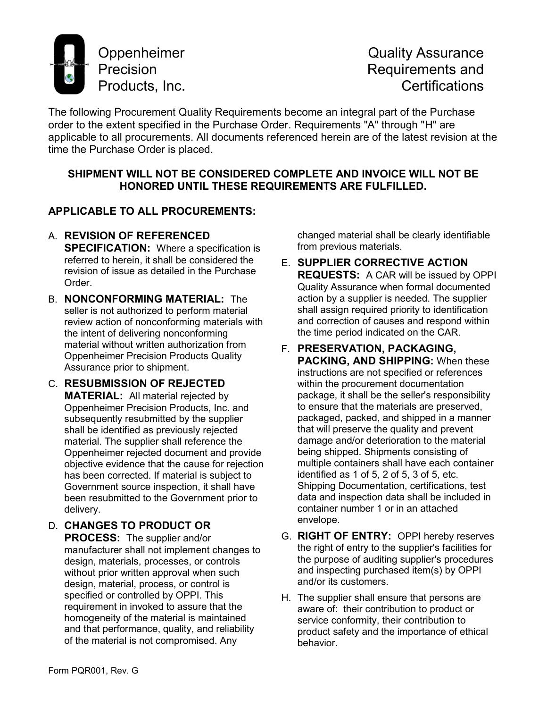

The following Procurement Quality Requirements become an integral part of the Purchase order to the extent specified in the Purchase Order. Requirements "A" through "H" are applicable to all procurements. All documents referenced herein are of the latest revision at the time the Purchase Order is placed.

## **SHIPMENT WILL NOT BE CONSIDERED COMPLETE AND INVOICE WILL NOT BE HONORED UNTIL THESE REQUIREMENTS ARE FULFILLED.**

## **APPLICABLE TO ALL PROCUREMENTS:**

A. **REVISION OF REFERENCED** 

**SPECIFICATION:** Where a specification is referred to herein, it shall be considered the revision of issue as detailed in the Purchase Order.

- B. **NONCONFORMING MATERIAL:** The seller is not authorized to perform material review action of nonconforming materials with the intent of delivering nonconforming material without written authorization from Oppenheimer Precision Products Quality Assurance prior to shipment.
- C. **RESUBMISSION OF REJECTED MATERIAL:** All material rejected by Oppenheimer Precision Products, Inc. and subsequently resubmitted by the supplier shall be identified as previously rejected material. The supplier shall reference the Oppenheimer rejected document and provide objective evidence that the cause for rejection has been corrected. If material is subject to Government source inspection, it shall have been resubmitted to the Government prior to delivery.
- D. **CHANGES TO PRODUCT OR PROCESS:** The supplier and/or manufacturer shall not implement changes to design, materials, processes, or controls without prior written approval when such design, material, process, or control is specified or controlled by OPPI. This requirement in invoked to assure that the homogeneity of the material is maintained and that performance, quality, and reliability of the material is not compromised. Any

changed material shall be clearly identifiable from previous materials.

- E. **SUPPLIER CORRECTIVE ACTION REQUESTS:** A CAR will be issued by OPPI Quality Assurance when formal documented action by a supplier is needed. The supplier shall assign required priority to identification and correction of causes and respond within the time period indicated on the CAR.
- F. **PRESERVATION, PACKAGING, PACKING, AND SHIPPING:** When these instructions are not specified or references within the procurement documentation package, it shall be the seller's responsibility to ensure that the materials are preserved, packaged, packed, and shipped in a manner that will preserve the quality and prevent damage and/or deterioration to the material being shipped. Shipments consisting of multiple containers shall have each container identified as 1 of 5, 2 of 5, 3 of 5, etc. Shipping Documentation, certifications, test data and inspection data shall be included in container number 1 or in an attached envelope.
- G. **RIGHT OF ENTRY:** OPPI hereby reserves the right of entry to the supplier's facilities for the purpose of auditing supplier's procedures and inspecting purchased item(s) by OPPI and/or its customers.
- H. The supplier shall ensure that persons are aware of: their contribution to product or service conformity, their contribution to product safety and the importance of ethical behavior.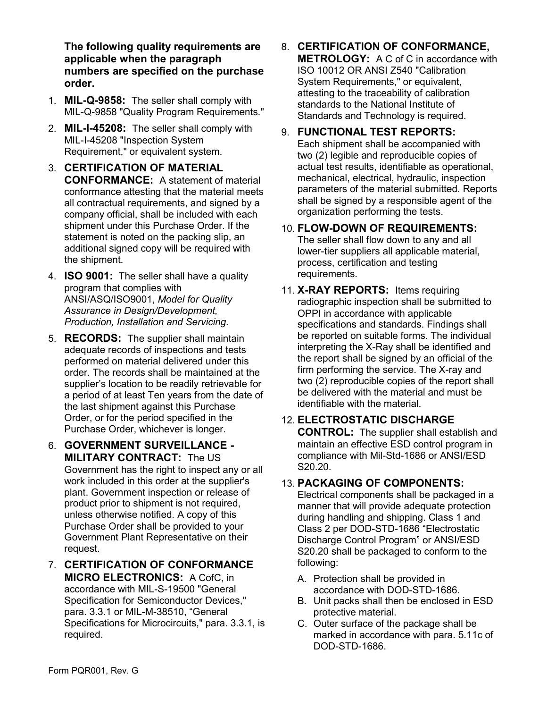**The following quality requirements are applicable when the paragraph numbers are specified on the purchase order.**

- 1. **MIL-Q-9858:** The seller shall comply with MIL-Q-9858 "Quality Program Requirements."
- 2. **MIL-I-45208:** The seller shall comply with MIL-I-45208 "Inspection System Requirement," or equivalent system.
- 3. **CERTIFICATION OF MATERIAL CONFORMANCE:** A statement of material conformance attesting that the material meets all contractual requirements, and signed by a company official, shall be included with each shipment under this Purchase Order. If the statement is noted on the packing slip, an additional signed copy will be required with the shipment.
- 4. **ISO 9001:** The seller shall have a quality program that complies with ANSI/ASQ/ISO9001, *Model for Quality Assurance in Design/Development, Production, Installation and Servicing.*
- 5. **RECORDS:** The supplier shall maintain adequate records of inspections and tests performed on material delivered under this order. The records shall be maintained at the supplier's location to be readily retrievable for a period of at least Ten years from the date of the last shipment against this Purchase Order, or for the period specified in the Purchase Order, whichever is longer.
- 6. **GOVERNMENT SURVEILLANCE - MILITARY CONTRACT:** The US Government has the right to inspect any or all

work included in this order at the supplier's plant. Government inspection or release of product prior to shipment is not required, unless otherwise notified. A copy of this Purchase Order shall be provided to your Government Plant Representative on their request.

7. **CERTIFICATION OF CONFORMANCE MICRO ELECTRONICS:** A CofC, in accordance with MIL-S-19500 "General Specification for Semiconductor Devices," para. 3.3.1 or MIL-M-38510, "General Specifications for Microcircuits," para. 3.3.1, is required.

8. **CERTIFICATION OF CONFORMANCE, METROLOGY:** A C of C in accordance with ISO 10012 OR ANSI Z540 "Calibration System Requirements," or equivalent, attesting to the traceability of calibration standards to the National Institute of Standards and Technology is required.

## 9. **FUNCTIONAL TEST REPORTS:**

Each shipment shall be accompanied with two (2) legible and reproducible copies of actual test results, identifiable as operational, mechanical, electrical, hydraulic, inspection parameters of the material submitted. Reports shall be signed by a responsible agent of the organization performing the tests.

## 10. **FLOW-DOWN OF REQUIREMENTS:** The seller shall flow down to any and all lower-tier suppliers all applicable material, process, certification and testing requirements.

11. **X-RAY REPORTS:** Items requiring radiographic inspection shall be submitted to OPPI in accordance with applicable specifications and standards. Findings shall be reported on suitable forms. The individual interpreting the X-Ray shall be identified and the report shall be signed by an official of the firm performing the service. The X-ray and two (2) reproducible copies of the report shall be delivered with the material and must be identifiable with the material.

## 12. **ELECTROSTATIC DISCHARGE CONTROL:** The supplier shall establish and maintain an effective ESD control program in compliance with Mil-Std-1686 or ANSI/ESD S20.20.

## 13. **PACKAGING OF COMPONENTS:**

Electrical components shall be packaged in a manner that will provide adequate protection during handling and shipping. Class 1 and Class 2 per DOD-STD-1686 "Electrostatic Discharge Control Program" or ANSI/ESD S20.20 shall be packaged to conform to the following:

- A. Protection shall be provided in accordance with DOD-STD-1686.
- B. Unit packs shall then be enclosed in ESD protective material.
- C. Outer surface of the package shall be marked in accordance with para. 5.11c of DOD-STD-1686.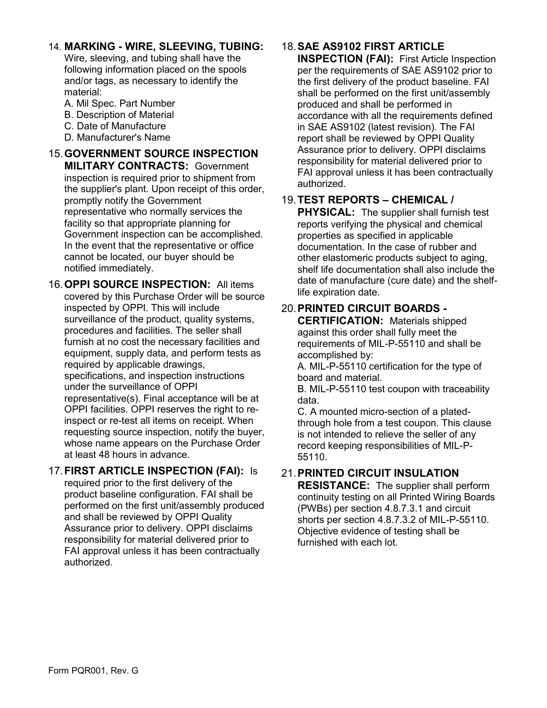## 14. **MARKING - WIRE, SLEEVING, TUBING:**

Wire, sleeving, and tubing shall have the following information placed on the spools and/or tags, as necessary to identify the material:

- A. Mil Spec. Part Number
- B. Description of Material
- C. Date of Manufacture
- D. Manufacturer's Name

### 15.**GOVERNMENT SOURCE INSPECTION MILITARY CONTRACTS:** Government inspection is required prior to shipment from the supplier's plant. Upon receipt of this order, promptly notify the Government representative who normally services the facility so that appropriate planning for Government inspection can be accomplished. In the event that the representative or office cannot be located, our buyer should be notified immediately.

16.**OPPI SOURCE INSPECTION:** All items covered by this Purchase Order will be source inspected by OPPI. This will include surveillance of the product, quality systems, procedures and facilities. The seller shall furnish at no cost the necessary facilities and equipment, supply data, and perform tests as required by applicable drawings, specifications, and inspection instructions under the surveillance of OPPI representative(s). Final acceptance will be at OPPI facilities. OPPI reserves the right to reinspect or re-test all items on receipt. When requesting source inspection, notify the buyer, whose name appears on the Purchase Order at least 48 hours in advance.

### 17.**FIRST ARTICLE INSPECTION (FAI):** Is required prior to the first delivery of the product baseline configuration. FAI shall be performed on the first unit/assembly produced and shall be reviewed by OPPI Quality Assurance prior to delivery. OPPI disclaims responsibility for material delivered prior to FAI approval unless it has been contractually authorized.

# 18.**SAE AS9102 FIRST ARTICLE**

**INSPECTION (FAI):** First Article Inspection per the requirements of SAE AS9102 prior to the first delivery of the product baseline. FAI shall be performed on the first unit/assembly produced and shall be performed in accordance with all the requirements defined in SAE AS9102 (latest revision). The FAI report shall be reviewed by OPPI Quality Assurance prior to delivery. OPPI disclaims responsibility for material delivered prior to FAI approval unless it has been contractually authorized.

# 19.**TEST REPORTS – CHEMICAL /**

**PHYSICAL:** The supplier shall furnish test reports verifying the physical and chemical properties as specified in applicable documentation. In the case of rubber and other elastomeric products subject to aging, shelf life documentation shall also include the date of manufacture (cure date) and the shelflife expiration date.

# 20.**PRINTED CIRCUIT BOARDS -**

**CERTIFICATION:** Materials shipped against this order shall fully meet the requirements of MIL-P-55110 and shall be accomplished by:

A. MIL-P-55110 certification for the type of board and material.

B. MIL-P-55110 test coupon with traceability data.

C. A mounted micro-section of a platedthrough hole from a test coupon. This clause is not intended to relieve the seller of any record keeping responsibilities of MIL-P-55110.

# 21.**PRINTED CIRCUIT INSULATION**

**RESISTANCE:** The supplier shall perform continuity testing on all Printed Wiring Boards (PWBs) per section 4.8.7.3.1 and circuit shorts per section 4.8.7.3.2 of MIL-P-55110. Objective evidence of testing shall be furnished with each lot.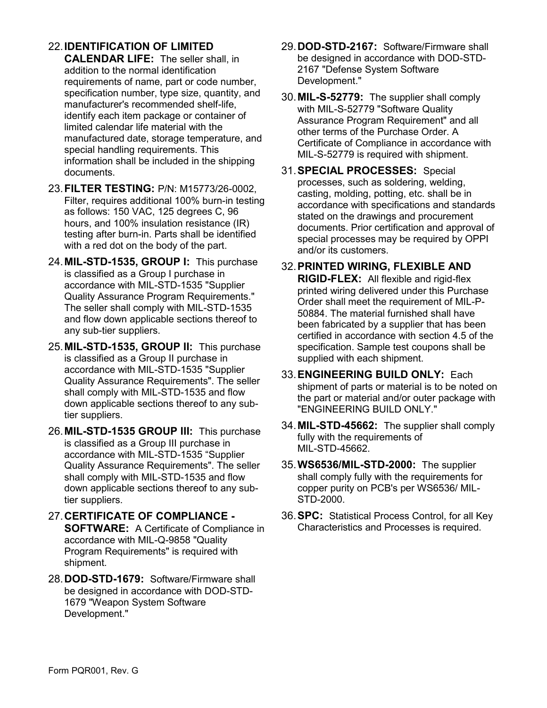## 22.**IDENTIFICATION OF LIMITED**

**CALENDAR LIFE:** The seller shall, in addition to the normal identification requirements of name, part or code number, specification number, type size, quantity, and manufacturer's recommended shelf-life, identify each item package or container of limited calendar life material with the manufactured date, storage temperature, and special handling requirements. This information shall be included in the shipping documents.

- 23.**FILTER TESTING:** P/N: M15773/26-0002, Filter, requires additional 100% burn-in testing as follows: 150 VAC, 125 degrees C, 96 hours, and 100% insulation resistance (IR) testing after burn-in. Parts shall be identified with a red dot on the body of the part.
- 24.**MIL-STD-1535, GROUP I:** This purchase is classified as a Group I purchase in accordance with MIL-STD-1535 "Supplier Quality Assurance Program Requirements." The seller shall comply with MIL-STD-1535 and flow down applicable sections thereof to any sub-tier suppliers.
- 25.**MIL-STD-1535, GROUP II:** This purchase is classified as a Group II purchase in accordance with MIL-STD-1535 "Supplier Quality Assurance Requirements". The seller shall comply with MIL-STD-1535 and flow down applicable sections thereof to any subtier suppliers.
- 26.**MIL-STD-1535 GROUP III:** This purchase is classified as a Group III purchase in accordance with MIL-STD-1535 "Supplier Quality Assurance Requirements". The seller shall comply with MIL-STD-1535 and flow down applicable sections thereof to any subtier suppliers.
- 27.**CERTIFICATE OF COMPLIANCE - SOFTWARE:** A Certificate of Compliance in accordance with MIL-Q-9858 "Quality Program Requirements" is required with shipment.
- 28.**DOD-STD-1679:** Software/Firmware shall be designed in accordance with DOD-STD-1679 "Weapon System Software Development."
- 29.**DOD-STD-2167:** Software/Firmware shall be designed in accordance with DOD-STD-2167 "Defense System Software Development."
- 30.**MIL-S-52779:** The supplier shall comply with MIL-S-52779 "Software Quality Assurance Program Requirement" and all other terms of the Purchase Order. A Certificate of Compliance in accordance with MIL-S-52779 is required with shipment.
- 31.**SPECIAL PROCESSES:** Special processes, such as soldering, welding, casting, molding, potting, etc. shall be in accordance with specifications and standards stated on the drawings and procurement documents. Prior certification and approval of special processes may be required by OPPI and/or its customers.
- 32.**PRINTED WIRING, FLEXIBLE AND RIGID-FLEX:** All flexible and rigid-flex printed wiring delivered under this Purchase Order shall meet the requirement of MIL-P-50884. The material furnished shall have been fabricated by a supplier that has been certified in accordance with section 4.5 of the specification. Sample test coupons shall be supplied with each shipment.
- 33.**ENGINEERING BUILD ONLY:** Each shipment of parts or material is to be noted on the part or material and/or outer package with "ENGINEERING BUILD ONLY."
- 34.**MIL-STD-45662:** The supplier shall comply fully with the requirements of MIL-STD-45662.
- 35.**WS6536/MIL-STD-2000:** The supplier shall comply fully with the requirements for copper purity on PCB's per WS6536/ MIL-STD-2000.
- 36.**SPC:** Statistical Process Control, for all Key Characteristics and Processes is required.